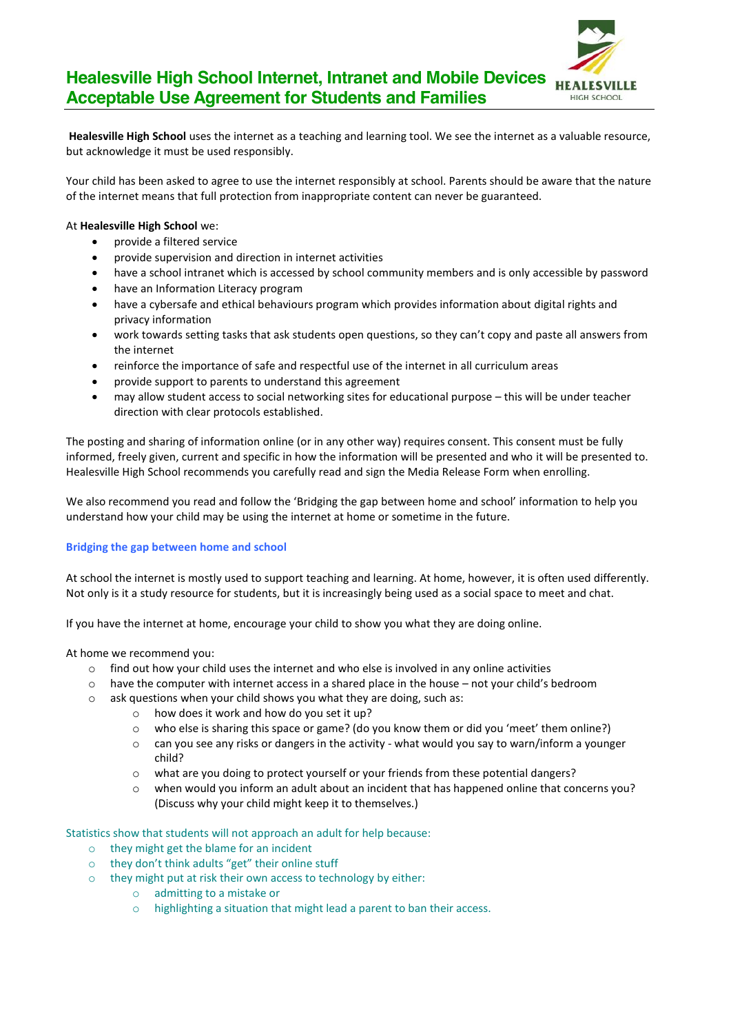

## **Healesville High School Internet, Intranet and Mobile Devices Acceptable Use Agreement for Students and Families**

**Healesville High School** uses the internet as a teaching and learning tool. We see the internet as a valuable resource, but acknowledge it must be used responsibly.

Your child has been asked to agree to use the internet responsibly at school. Parents should be aware that the nature of the internet means that full protection from inappropriate content can never be guaranteed.

#### At **Healesville High School** we:

- $\bullet$  provide a filtered service
- provide supervision and direction in internet activities
- have a school intranet which is accessed by school community members and is only accessible by password
- have an Information Literacy program
- have a cybersafe and ethical behaviours program which provides information about digital rights and privacy information
- work towards setting tasks that ask students open questions, so they can't copy and paste all answers from the internet
- reinforce the importance of safe and respectful use of the internet in all curriculum areas
- provide support to parents to understand this agreement
- may allow student access to social networking sites for educational purpose this will be under teacher direction with clear protocols established.

The posting and sharing of information online (or in any other way) requires consent. This consent must be fully informed, freely given, current and specific in how the information will be presented and who it will be presented to. Healesville High School recommends you carefully read and sign the Media Release Form when enrolling.

We also recommend you read and follow the 'Bridging the gap between home and school' information to help you understand how your child may be using the internet at home or sometime in the future.

#### **Bridging the gap between home and school**

At school the internet is mostly used to support teaching and learning. At home, however, it is often used differently. Not only is it a study resource for students, but it is increasingly being used as a social space to meet and chat.

If you have the internet at home, encourage your child to show you what they are doing online.

At home we recommend you:

- $\circ$  find out how your child uses the internet and who else is involved in any online activities
- $\circ$  have the computer with internet access in a shared place in the house not your child's bedroom
- o ask questions when your child shows you what they are doing, such as:
	- o how does it work and how do you set it up?
	- o who else is sharing this space or game? (do you know them or did you 'meet' them online?)
	- $\circ$  can you see any risks or dangers in the activity what would you say to warn/inform a younger child?
	- o what are you doing to protect yourself or your friends from these potential dangers?
	- $\circ$  when would you inform an adult about an incident that has happened online that concerns you? (Discuss why your child might keep it to themselves.)

Statistics show that students will not approach an adult for help because:

- o they might get the blame for an incident
- o they don't think adults "get" their online stuff
- o they might put at risk their own access to technology by either:
	- o admitting to a mistake or
	- o highlighting a situation that might lead a parent to ban their access.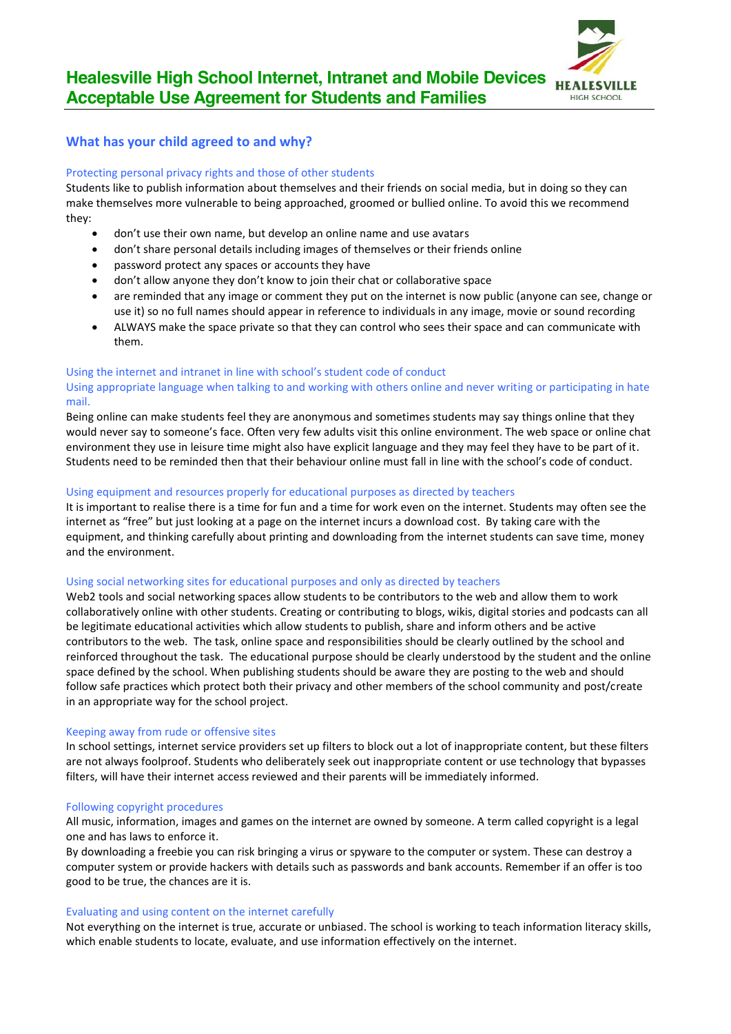

### **What has your child agreed to and why?**

#### Protecting personal privacy rights and those of other students

Students like to publish information about themselves and their friends on social media, but in doing so they can make themselves more vulnerable to being approached, groomed or bullied online. To avoid this we recommend they:

- don't use their own name, but develop an online name and use avatars
- don't share personal details including images of themselves or their friends online
- password protect any spaces or accounts they have
- don't allow anyone they don't know to join their chat or collaborative space
- are reminded that any image or comment they put on the internet is now public (anyone can see, change or use it) so no full names should appear in reference to individuals in any image, movie or sound recording
- ALWAYS make the space private so that they can control who sees their space and can communicate with them.

#### Using the internet and intranet in line with school's student code of conduct

### Using appropriate language when talking to and working with others online and never writing or participating in hate mail.

Being online can make students feel they are anonymous and sometimes students may say things online that they would never say to someone's face. Often very few adults visit this online environment. The web space or online chat environment they use in leisure time might also have explicit language and they may feel they have to be part of it. Students need to be reminded then that their behaviour online must fall in line with the school's code of conduct.

#### Using equipment and resources properly for educational purposes as directed by teachers

It is important to realise there is a time for fun and a time for work even on the internet. Students may often see the internet as "free" but just looking at a page on the internet incurs a download cost. By taking care with the equipment, and thinking carefully about printing and downloading from the internet students can save time, money and the environment.

#### Using social networking sites for educational purposes and only as directed by teachers

Web2 tools and social networking spaces allow students to be contributors to the web and allow them to work collaboratively online with other students. Creating or contributing to blogs, wikis, digital stories and podcasts can all be legitimate educational activities which allow students to publish, share and inform others and be active contributors to the web. The task, online space and responsibilities should be clearly outlined by the school and reinforced throughout the task. The educational purpose should be clearly understood by the student and the online space defined by the school. When publishing students should be aware they are posting to the web and should follow safe practices which protect both their privacy and other members of the school community and post/create in an appropriate way for the school project.

#### Keeping away from rude or offensive sites

In school settings, internet service providers set up filters to block out a lot of inappropriate content, but these filters are not always foolproof. Students who deliberately seek out inappropriate content or use technology that bypasses filters, will have their internet access reviewed and their parents will be immediately informed.

#### Following copyright procedures

All music, information, images and games on the internet are owned by someone. A term called copyright is a legal one and has laws to enforce it.

By downloading a freebie you can risk bringing a virus or spyware to the computer or system. These can destroy a computer system or provide hackers with details such as passwords and bank accounts. Remember if an offer is too good to be true, the chances are it is.

#### Evaluating and using content on the internet carefully

Not everything on the internet is true, accurate or unbiased. The school is working to teach information literacy skills, which enable students to locate, evaluate, and use information effectively on the internet.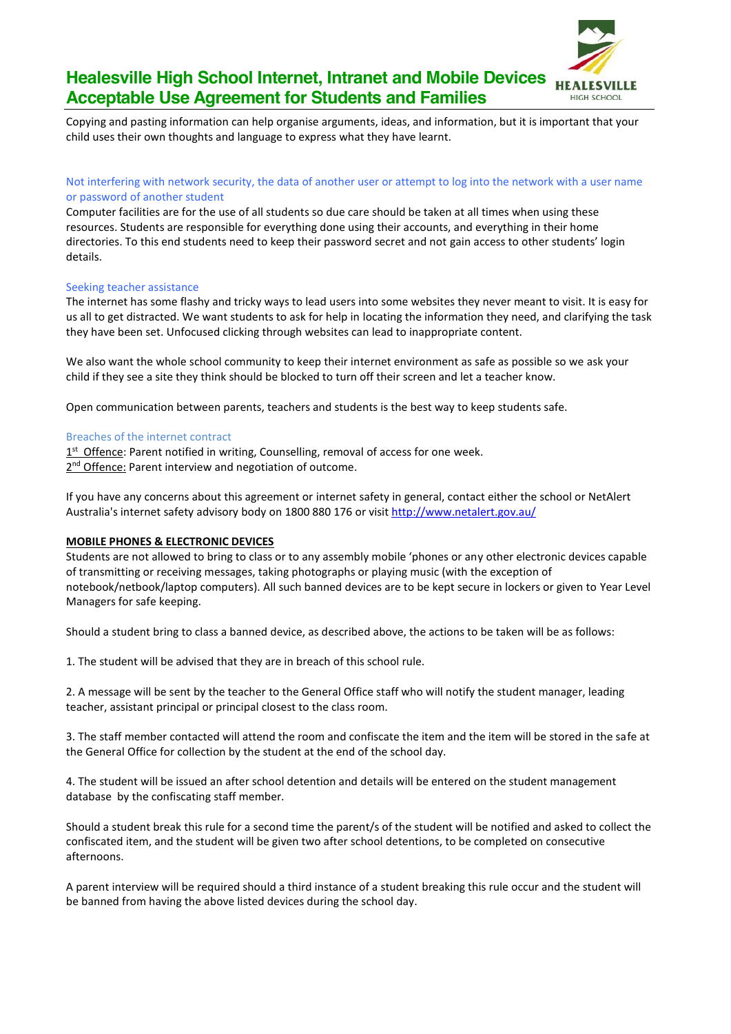

# **Healesville High School Internet, Intranet and Mobile Devices Acceptable Use Agreement for Students and Families**

Copying and pasting information can help organise arguments, ideas, and information, but it is important that your child uses their own thoughts and language to express what they have learnt.

### Not interfering with network security, the data of another user or attempt to log into the network with a user name or password of another student

Computer facilities are for the use of all students so due care should be taken at all times when using these resources. Students are responsible for everything done using their accounts, and everything in their home directories. To this end students need to keep their password secret and not gain access to other students' login details.

#### Seeking teacher assistance

The internet has some flashy and tricky ways to lead users into some websites they never meant to visit. It is easy for us all to get distracted. We want students to ask for help in locating the information they need, and clarifying the task they have been set. Unfocused clicking through websites can lead to inappropriate content.

We also want the whole school community to keep their internet environment as safe as possible so we ask your child if they see a site they think should be blocked to turn off their screen and let a teacher know.

Open communication between parents, teachers and students is the best way to keep students safe.

#### Breaches of the internet contract

1<sup>st</sup> Offence: Parent notified in writing, Counselling, removal of access for one week. 2<sup>nd</sup> Offence: Parent interview and negotiation of outcome.

If you have any concerns about this agreement or internet safety in general, contact either the school or NetAlert Australia's internet safety advisory body on 1800 880 176 or visit [http://www.netalert.gov.au/](http://www.netalert.net.au/)

#### **MOBILE PHONES & ELECTRONIC DEVICES**

Students are not allowed to bring to class or to any assembly mobile 'phones or any other electronic devices capable of transmitting or receiving messages, taking photographs or playing music (with the exception of notebook/netbook/laptop computers). All such banned devices are to be kept secure in lockers or given to Year Level Managers for safe keeping.

Should a student bring to class a banned device, as described above, the actions to be taken will be as follows:

1. The student will be advised that they are in breach of this school rule.

2. A message will be sent by the teacher to the General Office staff who will notify the student manager, leading teacher, assistant principal or principal closest to the class room.

3. The staff member contacted will attend the room and confiscate the item and the item will be stored in the safe at the General Office for collection by the student at the end of the school day.

4. The student will be issued an after school detention and details will be entered on the student management database by the confiscating staff member.

Should a student break this rule for a second time the parent/s of the student will be notified and asked to collect the confiscated item, and the student will be given two after school detentions, to be completed on consecutive afternoons.

A parent interview will be required should a third instance of a student breaking this rule occur and the student will be banned from having the above listed devices during the school day.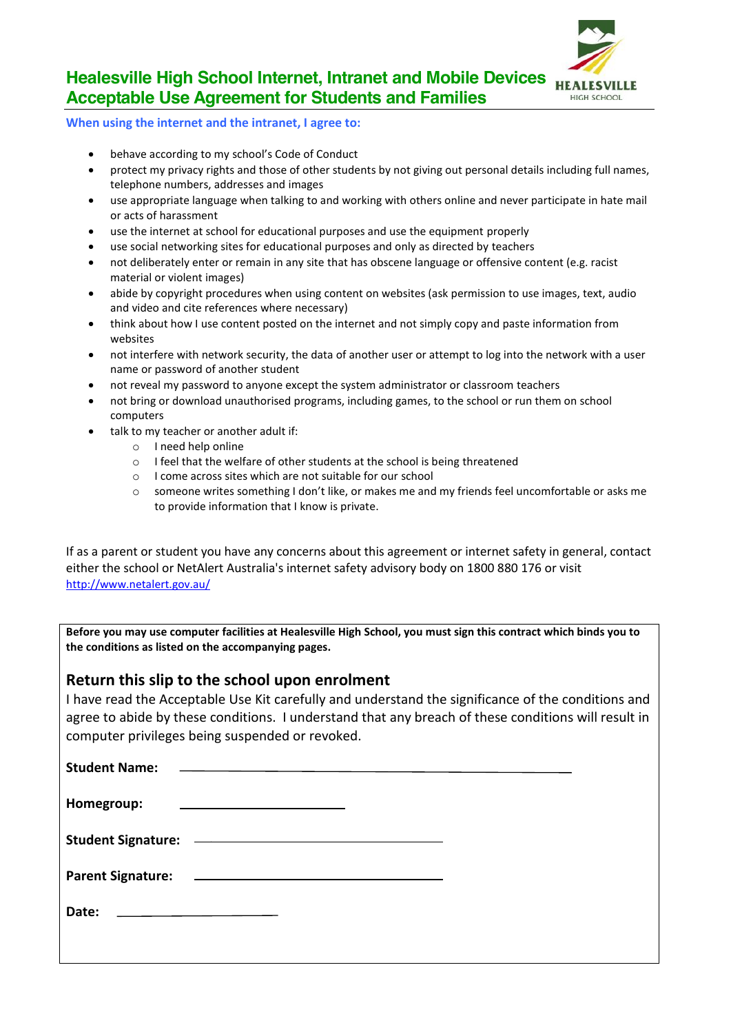

# **Healesville High School Internet, Intranet and Mobile Devices Acceptable Use Agreement for Students and Families**

**When using the internet and the intranet, I agree to:** 

- behave according to my school's Code of Conduct
- protect my privacy rights and those of other students by not giving out personal details including full names, telephone numbers, addresses and images
- use appropriate language when talking to and working with others online and never participate in hate mail or acts of harassment
- use the internet at school for educational purposes and use the equipment properly
- use social networking sites for educational purposes and only as directed by teachers
- not deliberately enter or remain in any site that has obscene language or offensive content (e.g. racist material or violent images)
- abide by copyright procedures when using content on websites (ask permission to use images, text, audio and video and cite references where necessary)
- think about how I use content posted on the internet and not simply copy and paste information from websites
- not interfere with network security, the data of another user or attempt to log into the network with a user name or password of another student
- not reveal my password to anyone except the system administrator or classroom teachers
- not bring or download unauthorised programs, including games, to the school or run them on school computers
- talk to my teacher or another adult if:
	- o I need help online
	- o I feel that the welfare of other students at the school is being threatened
	- o I come across sites which are not suitable for our school
	- o someone writes something I don't like, or makes me and my friends feel uncomfortable or asks me to provide information that I know is private.

If as a parent or student you have any concerns about this agreement or internet safety in general, contact either the school or NetAlert Australia's internet safety advisory body on 1800 880 176 or visit [http://www.netalert.gov.au/](http://www.netalert.net.au/)

**Before you may use computer facilities at Healesville High School, you must sign this contract which binds you to the conditions as listed on the accompanying pages.**

## **Return this slip to the school upon enrolment**

I have read the Acceptable Use Kit carefully and understand the significance of the conditions and agree to abide by these conditions. I understand that any breach of these conditions will result in computer privileges being suspended or revoked.

| <b>Student Name:</b>     | <u> 1980 - Andrea Andrew Maria (h. 1980).</u>                                                                         |  |
|--------------------------|-----------------------------------------------------------------------------------------------------------------------|--|
|                          |                                                                                                                       |  |
| Homegroup:               | <u> 1989 - Johann Barn, amerikansk politiker (d. 1989)</u>                                                            |  |
|                          |                                                                                                                       |  |
|                          |                                                                                                                       |  |
|                          |                                                                                                                       |  |
| <b>Parent Signature:</b> | <u> 1980 - Andrea Stadt Britain, amerikansk politik (* 1908)</u>                                                      |  |
|                          |                                                                                                                       |  |
| Date:                    | <u> 1989 - Johann Barn, mars ann an t-Amhain ann an t-Amhain an t-Amhain an t-Amhain an t-Amhain ann an t-Amhain </u> |  |
|                          |                                                                                                                       |  |
|                          |                                                                                                                       |  |
|                          |                                                                                                                       |  |